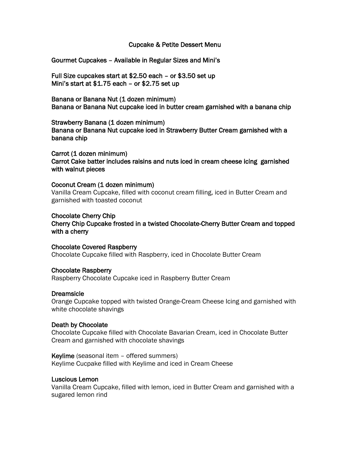### Cupcake & Petite Dessert Menu

Gourmet Cupcakes – Available in Regular Sizes and Mini's

Full Size cupcakes start at \$2.50 each – or \$3.50 set up Mini's start at \$1.75 each – or \$2.75 set up

Banana or Banana Nut (1 dozen minimum) Banana or Banana Nut cupcake iced in butter cream garnished with a banana chip

Strawberry Banana (1 dozen minimum) Banana or Banana Nut cupcake iced in Strawberry Butter Cream garnished with a banana chip

Carrot (1 dozen minimum) Carrot Cake batter includes raisins and nuts iced in cream cheese icing garnished with walnut pieces

### Coconut Cream (1 dozen minimum)

Vanilla Cream Cupcake, filled with coconut cream filling, iced in Butter Cream and garnished with toasted coconut

### Chocolate Cherry Chip

Cherry Chip Cupcake frosted in a twisted Chocolate-Cherry Butter Cream and topped with a cherry

#### Chocolate Covered Raspberry

Chocolate Cupcake filled with Raspberry, iced in Chocolate Butter Cream

#### Chocolate Raspberry

Raspberry Chocolate Cupcake iced in Raspberry Butter Cream

#### **Dreamsicle**

Orange Cupcake topped with twisted Orange-Cream Cheese Icing and garnished with white chocolate shavings

#### Death by Chocolate

Chocolate Cupcake filled with Chocolate Bavarian Cream, iced in Chocolate Butter Cream and garnished with chocolate shavings

Keylime (seasonal item – offered summers)

Keylime Cucpake filled with Keylime and iced in Cream Cheese

#### Luscious Lemon

Vanilla Cream Cupcake, filled with lemon, iced in Butter Cream and garnished with a sugared lemon rind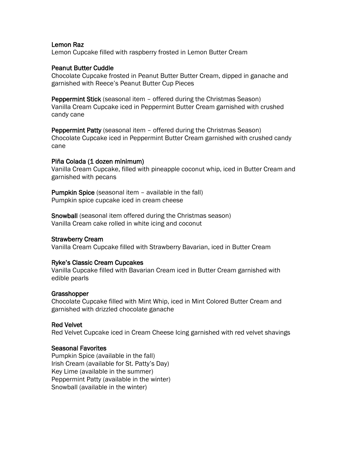## Lemon Raz

Lemon Cupcake filled with raspberry frosted in Lemon Butter Cream

## Peanut Butter Cuddle

Chocolate Cupcake frosted in Peanut Butter Butter Cream, dipped in ganache and garnished with Reece's Peanut Butter Cup Pieces

Peppermint Stick (seasonal item – offered during the Christmas Season) Vanilla Cream Cupcake iced in Peppermint Butter Cream garnished with crushed candy cane

Peppermint Patty (seasonal item - offered during the Christmas Season) Chocolate Cupcake iced in Peppermint Butter Cream garnished with crushed candy cane

# Piña Colada (1 dozen minimum)

Vanilla Cream Cupcake, filled with pineapple coconut whip, iced in Butter Cream and garnished with pecans

Pumpkin Spice (seasonal item – available in the fall) Pumpkin spice cupcake iced in cream cheese

Snowball (seasonal item offered during the Christmas season) Vanilla Cream cake rolled in white icing and coconut

## Strawberry Cream

Vanilla Cream Cupcake filled with Strawberry Bavarian, iced in Butter Cream

## Ryke's Classic Cream Cupcakes

Vanilla Cupcake filled with Bavarian Cream iced in Butter Cream garnished with edible pearls

## **Grasshopper**

Chocolate Cupcake filled with Mint Whip, iced in Mint Colored Butter Cream and garnished with drizzled chocolate ganache

# Red Velvet

Red Velvet Cupcake iced in Cream Cheese Icing garnished with red velvet shavings

# Seasonal Favorites

Pumpkin Spice (available in the fall) Irish Cream (available for St. Patty's Day) Key Lime (available in the summer) Peppermint Patty (available in the winter) Snowball (available in the winter)